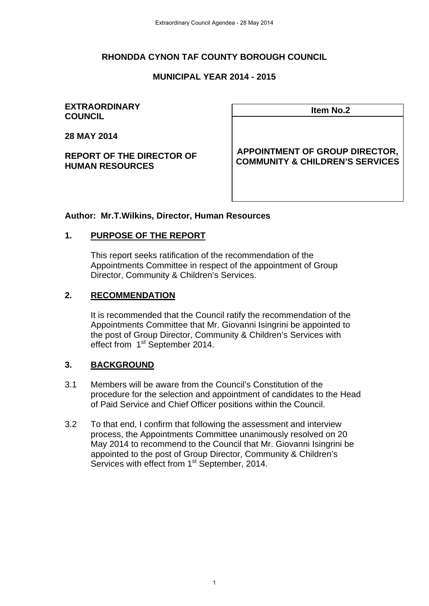#### **RHONDDA CYNON TAF COUNTY BOROUGH COUNCIL**

#### **MUNICIPAL YEAR 2014 - 2015**

#### **EXTRAORDINARY Item No.2 COUNCIL**

**28 MAY 2014** 

**REPORT OF THE DIRECTOR OF HUMAN RESOURCES** 

**APPOINTMENT OF GROUP DIRECTOR, COMMUNITY & CHILDREN'S SERVICES**

#### **Author: Mr.T.Wilkins, Director, Human Resources**

#### **1. PURPOSE OF THE REPORT**

This report seeks ratification of the recommendation of the Appointments Committee in respect of the appointment of Group Director, Community & Children's Services.

#### **2. RECOMMENDATION**

It is recommended that the Council ratify the recommendation of the Appointments Committee that Mr. Giovanni Isingrini be appointed to the post of Group Director, Community & Children's Services with effect from 1<sup>st</sup> September 2014.

#### **3. BACKGROUND**

- 3.1 Members will be aware from the Council's Constitution of the procedure for the selection and appointment of candidates to the Head of Paid Service and Chief Officer positions within the Council.
- 3.2 To that end, I confirm that following the assessment and interview process, the Appointments Committee unanimously resolved on 20 May 2014 to recommend to the Council that Mr. Giovanni Isingrini be appointed to the post of Group Director, Community & Children's Services with effect from 1<sup>st</sup> September, 2014.